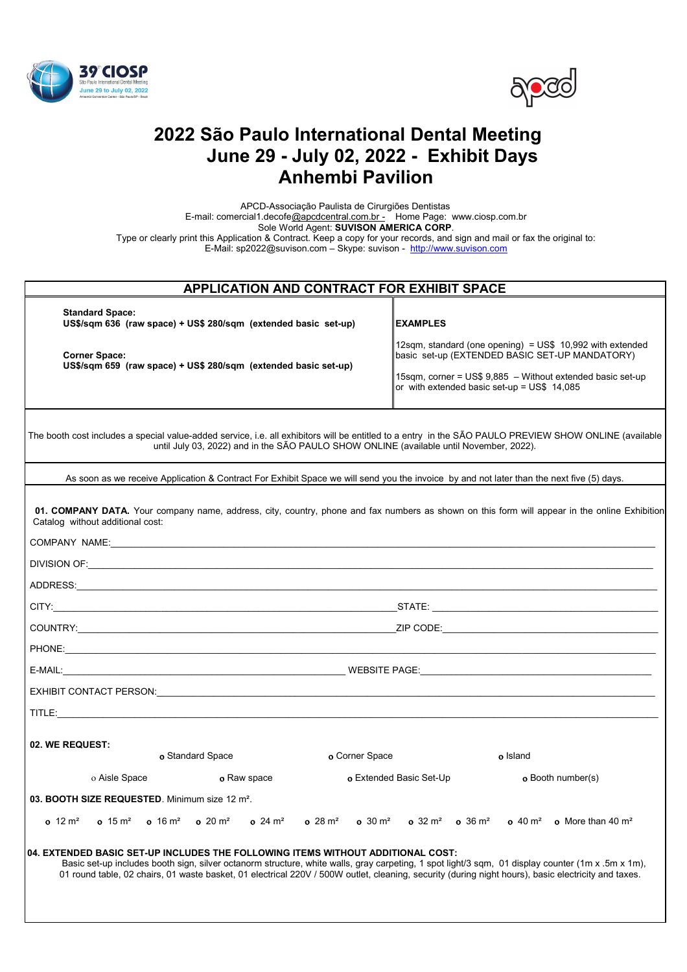



# **2022 São Paulo International Dental Meeting June 29 - July 02, 2022 - Exhibit Days Anhembi Pavilion**

 APCD-Associação Paulista de Cirurgiões Dentistas E-mail: comercial1.decof[e@apcdcentral.com.br -](mailto:prominter@apcd.org.br) Home Page: www.ciosp.com.br Sole World Agent: **SUVISON AMERICA CORP**. Type or clearly print this Application & Contract. Keep a copy for your records, and sign and mail or fax the original to: E-Mail: sp2022@suvison.com – Skype: suvison - [http://www.suvison.com](http://suvison.com/)

| <b>APPLICATION AND CONTRACT FOR EXHIBIT SPACE</b>                                                                                                                                                                                                                                                                                                                                           |                                                                                                                 |
|---------------------------------------------------------------------------------------------------------------------------------------------------------------------------------------------------------------------------------------------------------------------------------------------------------------------------------------------------------------------------------------------|-----------------------------------------------------------------------------------------------------------------|
| <b>Standard Space:</b><br>US\$/sqm 636 (raw space) + US\$ 280/sqm (extended basic set-up)                                                                                                                                                                                                                                                                                                   | <b>EXAMPLES</b>                                                                                                 |
| <b>Corner Space:</b>                                                                                                                                                                                                                                                                                                                                                                        | 12sqm, standard (one opening) = $US$$ 10,992 with extended<br>basic set-up (EXTENDED BASIC SET-UP MANDATORY)    |
| US\$/sqm 659 (raw space) + US\$ 280/sqm (extended basic set-up)                                                                                                                                                                                                                                                                                                                             | 15sqm, corner = US\$ 9,885 - Without extended basic set-up<br>or with extended basic set-up = $US$$ 14.085      |
| The booth cost includes a special value-added service, i.e. all exhibitors will be entitled to a entry in the SÃO PAULO PREVIEW SHOW ONLINE (available<br>until July 03, 2022) and in the SÃO PAULO SHOW ONLINE (available until November, 2022).                                                                                                                                           |                                                                                                                 |
| As soon as we receive Application & Contract For Exhibit Space we will send you the invoice by and not later than the next five (5) days.                                                                                                                                                                                                                                                   |                                                                                                                 |
| 01. COMPANY DATA. Your company name, address, city, country, phone and fax numbers as shown on this form will appear in the online Exhibition<br>Catalog without additional cost:                                                                                                                                                                                                           |                                                                                                                 |
| COMPANY NAME: NAME: NAME AND A SERVER AND A SERVER AND A SERVER AND A SERVER AND A SERVER AND A SERVER AND A SERVER AND A SERVER AND A SERVER AND A SERVER AND A SERVER AND A SERVER AND A SERVER AND A SERVER AND A SERVER AN                                                                                                                                                              |                                                                                                                 |
|                                                                                                                                                                                                                                                                                                                                                                                             |                                                                                                                 |
|                                                                                                                                                                                                                                                                                                                                                                                             |                                                                                                                 |
|                                                                                                                                                                                                                                                                                                                                                                                             |                                                                                                                 |
|                                                                                                                                                                                                                                                                                                                                                                                             |                                                                                                                 |
|                                                                                                                                                                                                                                                                                                                                                                                             |                                                                                                                 |
|                                                                                                                                                                                                                                                                                                                                                                                             |                                                                                                                 |
| EXHIBIT CONTACT PERSON: LATER AND A SERIES AND A SERIES AND A SERIES AND A SERIES AND A SERIES AND A SERIES AN                                                                                                                                                                                                                                                                              |                                                                                                                 |
|                                                                                                                                                                                                                                                                                                                                                                                             |                                                                                                                 |
|                                                                                                                                                                                                                                                                                                                                                                                             |                                                                                                                 |
| 02. WE REQUEST:<br>o Standard Space<br>o Corner Space                                                                                                                                                                                                                                                                                                                                       | o Island                                                                                                        |
| o Aisle Space<br>o Raw space                                                                                                                                                                                                                                                                                                                                                                | o Extended Basic Set-Up<br>o Booth number(s)                                                                    |
| 03. BOOTH SIZE REQUESTED. Minimum size 12 m <sup>2</sup> .                                                                                                                                                                                                                                                                                                                                  |                                                                                                                 |
| $o$ 12 $m^2$<br>$\Omega$ 15 m <sup>2</sup><br>$o$ 16 $m^2$<br>$0.20 \text{ m}^2$<br>$0.24 \text{ m}^2$<br>$0.28 \text{ m}^2$<br>$\sigma$ 30 m <sup>2</sup>                                                                                                                                                                                                                                  | $\sigma$ 32 m <sup>2</sup> $\sigma$ 36 m <sup>2</sup><br>$\sigma$ 40 $\rm m^2$<br>o More than 40 $\mathrm{m}^2$ |
| 04. EXTENDED BASIC SET-UP INCLUDES THE FOLLOWING ITEMS WITHOUT ADDITIONAL COST:<br>Basic set-up includes booth sign, silver octanorm structure, white walls, gray carpeting, 1 spot light/3 sqm, 01 display counter (1m x .5m x 1m),<br>01 round table, 02 chairs, 01 waste basket, 01 electrical 220V / 500W outlet, cleaning, security (during night hours), basic electricity and taxes. |                                                                                                                 |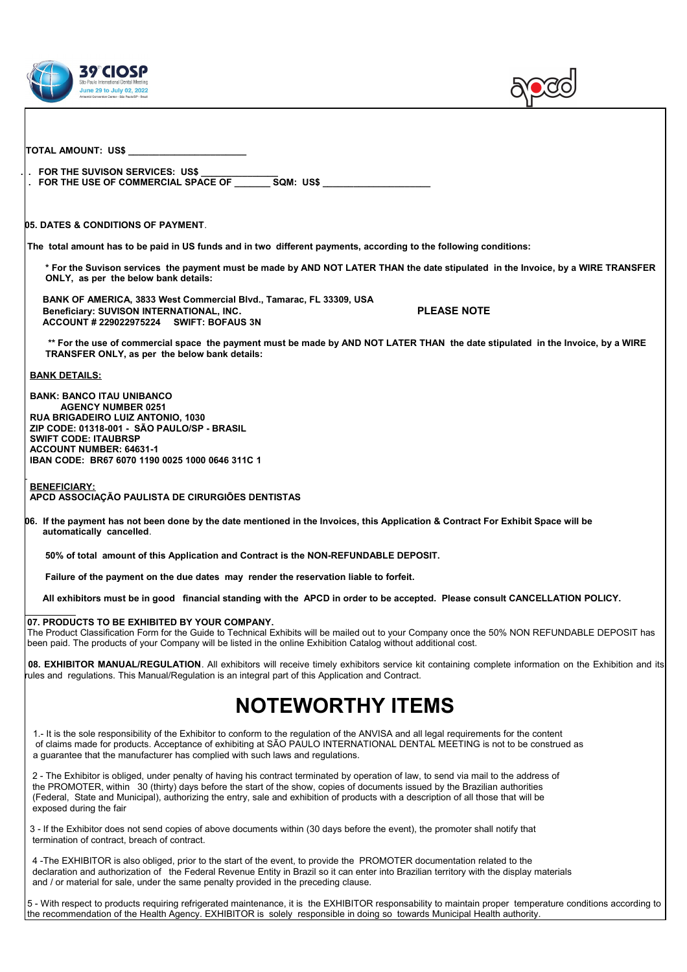



| TOTAL AMOUNT:  US\$                                                                                                                                                                                                                                                                                                                                                                                                                    |
|----------------------------------------------------------------------------------------------------------------------------------------------------------------------------------------------------------------------------------------------------------------------------------------------------------------------------------------------------------------------------------------------------------------------------------------|
|                                                                                                                                                                                                                                                                                                                                                                                                                                        |
| . FOR THE SUVISON SERVICES: US\$<br>. FOR THE USE OF COMMERCIAL SPACE OF SQM: US\$                                                                                                                                                                                                                                                                                                                                                     |
|                                                                                                                                                                                                                                                                                                                                                                                                                                        |
| <b>05. DATES &amp; CONDITIONS OF PAYMENT.</b>                                                                                                                                                                                                                                                                                                                                                                                          |
| The total amount has to be paid in US funds and in two different payments, according to the following conditions:                                                                                                                                                                                                                                                                                                                      |
| * For the Suvison services the payment must be made by AND NOT LATER THAN the date stipulated in the Invoice, by a WIRE TRANSFER<br>ONLY, as per the below bank details:                                                                                                                                                                                                                                                               |
| BANK OF AMERICA, 3833 West Commercial Blvd., Tamarac, FL 33309, USA<br><b>PLEASE NOTE</b><br>Beneficiary: SUVISON INTERNATIONAL, INC.<br>ACCOUNT # 229022975224 SWIFT: BOFAUS 3N                                                                                                                                                                                                                                                       |
| ** For the use of commercial space the payment must be made by AND NOT LATER THAN the date stipulated in the Invoice, by a WIRE<br>TRANSFER ONLY, as per the below bank details:                                                                                                                                                                                                                                                       |
| <b>BANK DETAILS:</b>                                                                                                                                                                                                                                                                                                                                                                                                                   |
| <b>BANK: BANCO ITAU UNIBANCO</b><br><b>AGENCY NUMBER 0251</b><br>RUA BRIGADEIRO LUIZ ANTONIO, 1030<br>ZIP CODE: 01318-001 - SÃO PAULO/SP - BRASIL<br><b>SWIFT CODE: ITAUBRSP</b><br><b>ACCOUNT NUMBER: 64631-1</b><br>IBAN CODE: BR67 6070 1190 0025 1000 0646 311C 1                                                                                                                                                                  |
| <b>BENEFICIARY:</b><br>APCD ASSOCIAÇÃO PAULISTA DE CIRURGIÕES DENTISTAS                                                                                                                                                                                                                                                                                                                                                                |
| 06. If the payment has not been done by the date mentioned in the Invoices, this Application & Contract For Exhibit Space will be<br>automatically cancelled.                                                                                                                                                                                                                                                                          |
| 50% of total amount of this Application and Contract is the NON-REFUNDABLE DEPOSIT.                                                                                                                                                                                                                                                                                                                                                    |
| Failure of the payment on the due dates may render the reservation liable to forfeit.                                                                                                                                                                                                                                                                                                                                                  |
| All exhibitors must be in good financial standing with the APCD in order to be accepted. Please consult CANCELLATION POLICY.                                                                                                                                                                                                                                                                                                           |
| 07. PRODUCTS TO BE EXHIBITED BY YOUR COMPANY.<br>The Product Classification Form for the Guide to Technical Exhibits will be mailed out to your Company once the 50% NON REFUNDABLE DEPOSIT has<br>been paid. The products of your Company will be listed in the online Exhibition Catalog without additional cost.                                                                                                                    |
| 08. EXHIBITOR MANUAL/REGULATION. All exhibitors will receive timely exhibitors service kit containing complete information on the Exhibition and its<br>rules and regulations. This Manual/Regulation is an integral part of this Application and Contract.                                                                                                                                                                            |
| <b>NOTEWORTHY ITEMS</b>                                                                                                                                                                                                                                                                                                                                                                                                                |
| 1.- It is the sole responsibility of the Exhibitor to conform to the regulation of the ANVISA and all legal requirements for the content<br>of claims made for products. Acceptance of exhibiting at SÃO PAULO INTERNATIONAL DENTAL MEETING is not to be construed as<br>a guarantee that the manufacturer has complied with such laws and regulations.                                                                                |
| 2 - The Exhibitor is obliged, under penalty of having his contract terminated by operation of law, to send via mail to the address of<br>the PROMOTER, within 30 (thirty) days before the start of the show, copies of documents issued by the Brazilian authorities<br>(Federal, State and Municipal), authorizing the entry, sale and exhibition of products with a description of all those that will be<br>exposed during the fair |
| 3 - If the Exhibitor does not send copies of above documents within (30 days before the event), the promoter shall notify that<br>termination of contract, breach of contract.                                                                                                                                                                                                                                                         |
| 4 -The EXHIBITOR is also obliged, prior to the start of the event, to provide the PROMOTER documentation related to the<br>declaration and authorization of the Federal Revenue Entity in Brazil so it can enter into Brazilian territory with the display materials<br>and / or material for sale, under the same penalty provided in the preceding clause.                                                                           |
| 5 - With respect to products requiring refrigerated maintenance, it is the EXHIBITOR responsability to maintain proper temperature conditions according to<br>the recommendation of the Health Agency. EXHIBITOR is solely responsible in doing so towards Municipal Health authority.                                                                                                                                                 |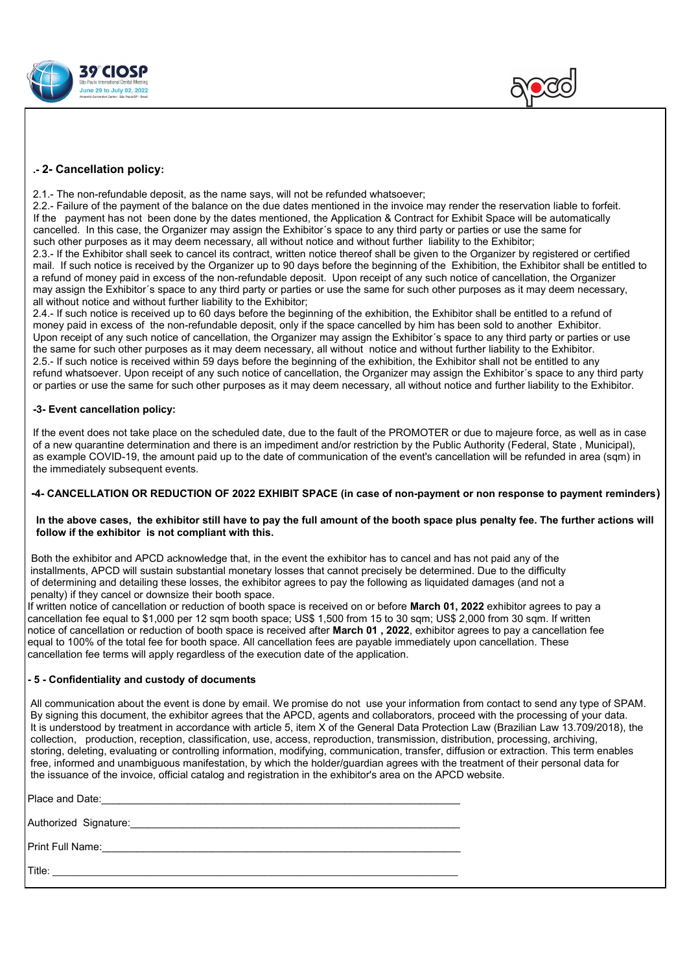



## **.- 2- Cancellation policy:**

2.1.- The non-refundable deposit, as the name says, will not be refunded whatsoever;

2.2.- Failure of the payment of the balance on the due dates mentioned in the invoice may render the reservation liable to forfeit. If the payment has not been done by the dates mentioned, the Application & Contract for Exhibit Space will be automatically cancelled. In this case, the Organizer may assign the Exhibitor´s space to any third party or parties or use the same for such other purposes as it may deem necessary, all without notice and without further liability to the Exhibitor;

2.3.- If the Exhibitor shall seek to cancel its contract, written notice thereof shall be given to the Organizer by registered or certified mail. If such notice is received by the Organizer up to 90 days before the beginning of the Exhibition, the Exhibitor shall be entitled to a refund of money paid in excess of the non-refundable deposit. Upon receipt of any such notice of cancellation, the Organizer may assign the Exhibitor´s space to any third party or parties or use the same for such other purposes as it may deem necessary, all without notice and without further liability to the Exhibitor;

2.4.- If such notice is received up to 60 days before the beginning of the exhibition, the Exhibitor shall be entitled to a refund of money paid in excess of the non-refundable deposit, only if the space cancelled by him has been sold to another Exhibitor. Upon receipt of any such notice of cancellation, the Organizer may assign the Exhibitor´s space to any third party or parties or use the same for such other purposes as it may deem necessary, all without notice and without further liability to the Exhibitor. 2.5.- If such notice is received within 59 days before the beginning of the exhibition, the Exhibitor shall not be entitled to any refund whatsoever. Upon receipt of any such notice of cancellation, the Organizer may assign the Exhibitor´s space to any third party or parties or use the same for such other purposes as it may deem necessary, all without notice and further liability to the Exhibitor.

#### **-3- Event cancellation policy:**

If the event does not take place on the scheduled date, due to the fault of the PROMOTER or due to majeure force, as well as in case of a new quarantine determination and there is an impediment and/or restriction by the Public Authority (Federal, State , Municipal), as example COVID-19, the amount paid up to the date of communication of the event's cancellation will be refunded in area (sqm) in the immediately subsequent events.

#### **-4- CANCELLATION OR REDUCTION OF 2022 EXHIBIT SPACE (in case of non-payment or non response to payment reminders)**

#### **In the above cases, the exhibitor still have to pay the full amount of the booth space plus penalty fee. The further actions will follow if the exhibitor is not compliant with this.**

Both the exhibitor and APCD acknowledge that, in the event the exhibitor has to cancel and has not paid any of the installments, APCD will sustain substantial monetary losses that cannot precisely be determined. Due to the difficulty of determining and detailing these losses, the exhibitor agrees to pay the following as liquidated damages (and not a penalty) if they cancel or downsize their booth space.

 If written notice of cancellation or reduction of booth space is received on or before **March 01, 2022** exhibitor agrees to pay a cancellation fee equal to \$1,000 per 12 sqm booth space; US\$ 1,500 from 15 to 30 sqm; US\$ 2,000 from 30 sqm. If written notice of cancellation or reduction of booth space is received after **March 01 , 2022**, exhibitor agrees to pay a cancellation fee equal to 100% of the total fee for booth space. All cancellation fees are payable immediately upon cancellation. These cancellation fee terms will apply regardless of the execution date of the application.

### **- 5 - Confidentiality and custody of documents**

 All communication about the event is done by email. We promise do not use your information from contact to send any type of SPAM. By signing this document, the exhibitor agrees that the APCD, agents and collaborators, proceed with the processing of your data. It is understood by treatment in accordance with article 5, item X of the General Data Protection Law (Brazilian Law 13.709/2018), the collection, production, reception, classification, use, access, reproduction, transmission, distribution, processing, archiving, storing, deleting, evaluating or controlling information, modifying, communication, transfer, diffusion or extraction. This term enables free, informed and unambiguous manifestation, by which the holder/guardian agrees with the treatment of their personal data for the issuance of the invoice, official catalog and registration in the exhibitor's area on the APCD website.

| Place and Date: Network and Selection and Selection and Date: |
|---------------------------------------------------------------|
|                                                               |
| Print Full Name:                                              |
| Title:                                                        |